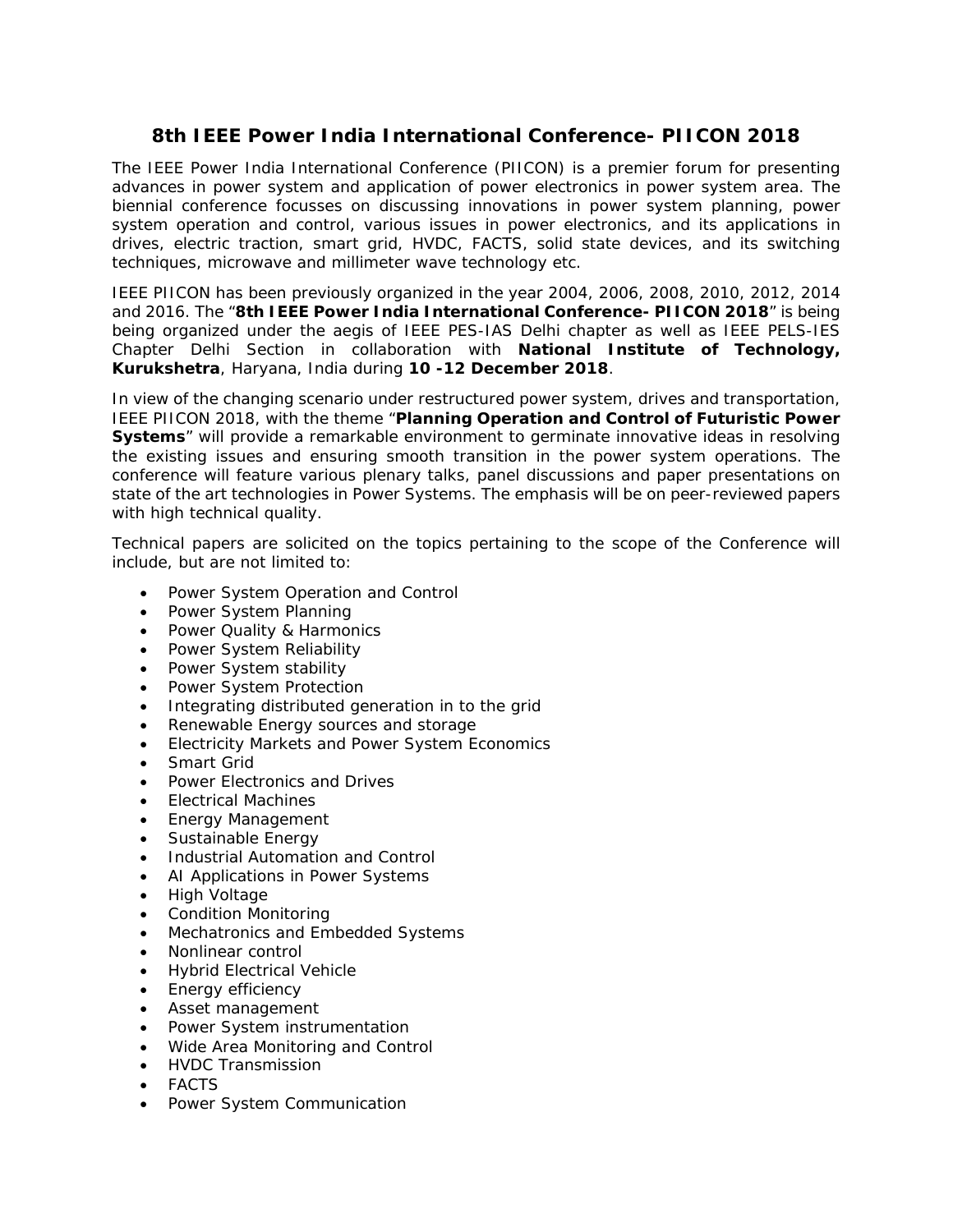## **8th IEEE Power India International Conference- PIICON 2018**

The IEEE Power India International Conference (PIICON) is a premier forum for presenting advances in power system and application of power electronics in power system area. The biennial conference focusses on discussing innovations in power system planning, power system operation and control, various issues in power electronics, and its applications in drives, electric traction, smart grid, HVDC, FACTS, solid state devices, and its switching techniques, microwave and millimeter wave technology etc.

IEEE PIICON has been previously organized in the year 2004, 2006, 2008, 2010, 2012, 2014 and 2016. The "**8th IEEE Power India International Conference- PIICON 2018**" is being being organized under the aegis of IEEE PES-IAS Delhi chapter as well as IEEE PELS-IES Chapter Delhi Section in collaboration with **National Institute of Technology, Kurukshetra**, Haryana, India during **10 -12 December 2018**.

In view of the changing scenario under restructured power system, drives and transportation, IEEE PIICON 2018, with the theme "**Planning Operation and Control of Futuristic Power Systems**" will provide a remarkable environment to germinate innovative ideas in resolving the existing issues and ensuring smooth transition in the power system operations. The conference will feature various plenary talks, panel discussions and paper presentations on state of the art technologies in Power Systems. The emphasis will be on peer-reviewed papers with high technical quality.

Technical papers are solicited on the topics pertaining to the scope of the Conference will include, but are not limited to:

- Power System Operation and Control
- Power System Planning
- Power Quality & Harmonics
- Power System Reliability
- Power System stability
- Power System Protection
- Integrating distributed generation in to the grid
- Renewable Energy sources and storage
- Electricity Markets and Power System Economics
- Smart Grid
- Power Electronics and Drives
- Electrical Machines
- Energy Management
- Sustainable Energy
- Industrial Automation and Control
- AI Applications in Power Systems
- High Voltage
- Condition Monitoring
- Mechatronics and Embedded Systems
- Nonlinear control
- Hybrid Electrical Vehicle
- Energy efficiency
- Asset management
- Power System instrumentation
- Wide Area Monitoring and Control
- HVDC Transmission
- FACTS
- Power System Communication